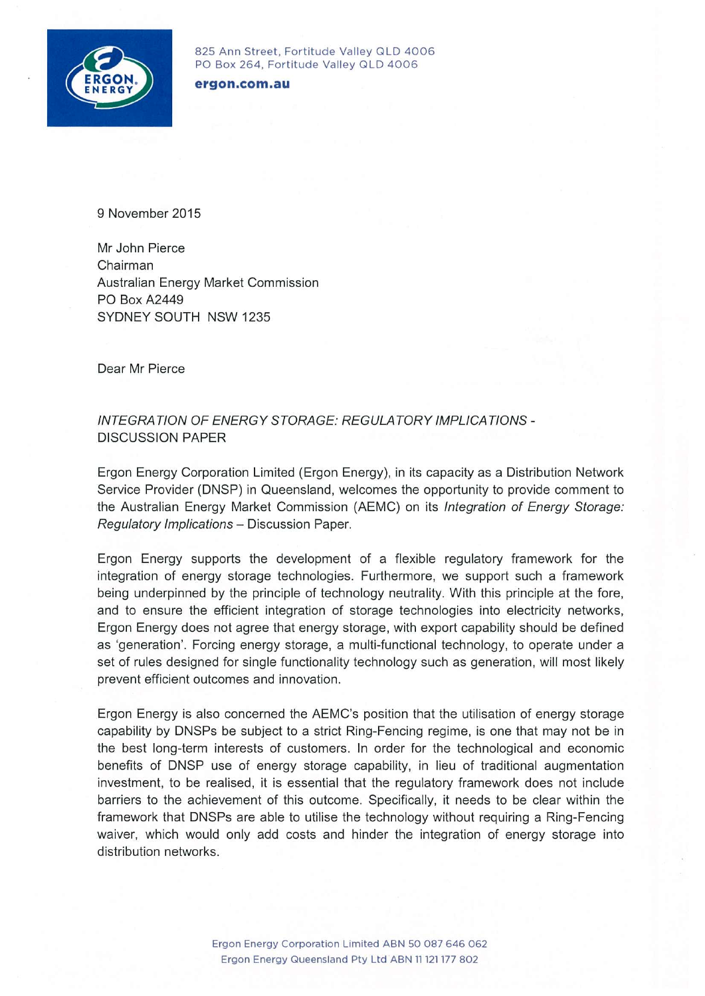

825 Ann Street, Fortitude Valley QLD 4006 PO Box 264, Fortitude Valley QLD 4006

ergon.com.au

9 November 2015

Mr John Pierce Chairman Australian Energy Market Commission PO Box A2449 SYDNEY SOUTH NSW 1235

Dear Mr Pierce

**INTEGRATION OF ENERGY STORAGE: REGULATORY IMPLICATIONS -DISCUSSION PAPER** 

Ergon Energy Corporation Limited (Ergon Energy), in its capacity as a Distribution Network Service Provider (DNSP) in Queensland, welcomes the opportunity to provide comment to the Australian Energy Market Commission (AEMC) on its Integration of Energy Storage: Regulatory Implications - Discussion Paper.

Ergon Energy supports the development of a flexible regulatory framework for the integration of energy storage technologies. Furthermore, we support such a framework being underpinned by the principle of technology neutrality. With this principle at the fore, and to ensure the efficient integration of storage technologies into electricity networks, Ergon Energy does not agree that energy storage, with export capability should be defined as 'generation'. Forcing energy storage, a multi-functional technology, to operate under a set of rules designed for single functionality technology such as generation, will most likely prevent efficient outcomes and innovation.

Ergon Energy is also concerned the AEMC's position that the utilisation of energy storage capability by DNSPs be subject to a strict Ring-Fencing regime, is one that may not be in the best long-term interests of customers. In order for the technological and economic benefits of DNSP use of energy storage capability, in lieu of traditional augmentation investment, to be realised, it is essential that the regulatory framework does not include barriers to the achievement of this outcome. Specifically, it needs to be clear within the framework that DNSPs are able to utilise the technology without requiring a Ring-Fencing waiver, which would only add costs and hinder the integration of energy storage into distribution networks.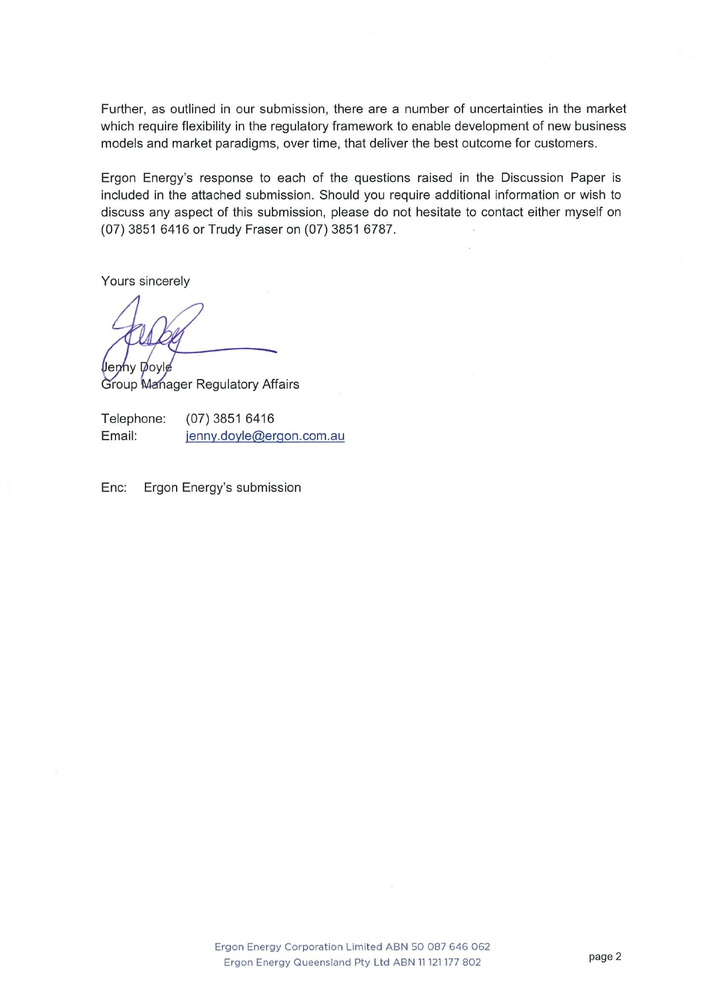Further, as outlined in our submission, there are a number of uncertainties in the market which require flexibility in the regulatory framework to enable development of new business models and market paradigms, over time, that deliver the best outcome for customers.

Ergon Energy's response to each of the questions raised in the Discussion Paper is included in the attached submission. Should you require additional information or wish to discuss any aspect of this submission, please do not hesitate to contact either myself on (07) 3851 6416 or Trudy Fraser on (07) 3851 6787.

Yours sincerely

**Jenny Doyle** Group Manager Regulatory Affairs

Telephone:  $(07)$  3851 6416 Email: jenny.doyle@ergon.com.au

Enc: Ergon Energy's submission

> Ergon Energy Corporation Limited ABN 50 087 646 062 Ergon Energy Queensland Pty Ltd ABN 11 121 177 802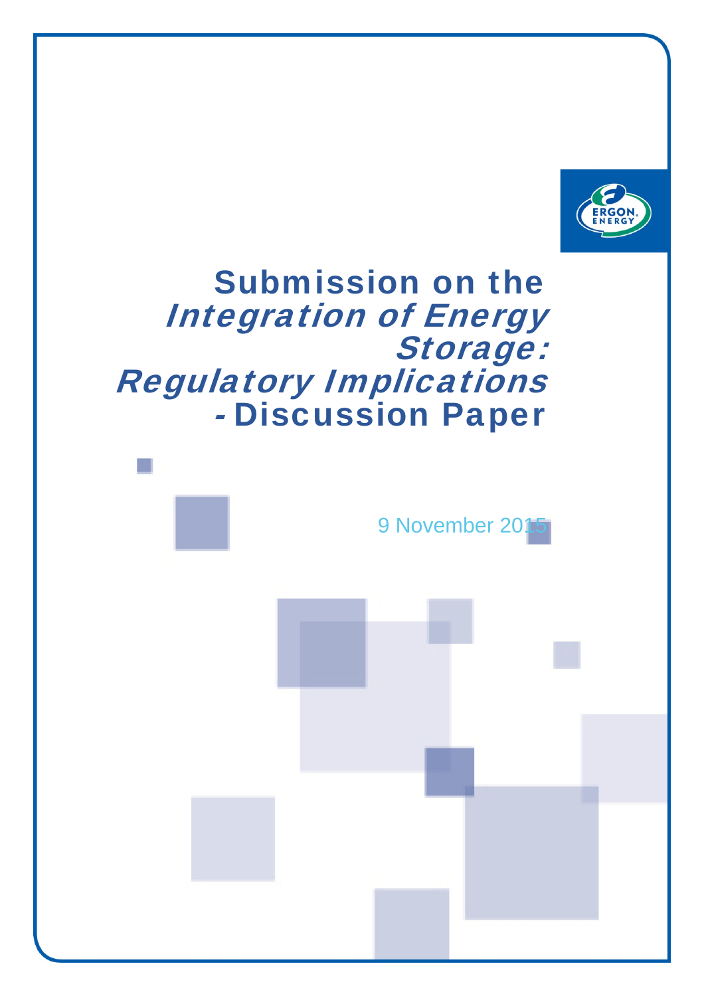

# Submission on the Integration of Energy Storage: Regulatory Implications - Discussion Paper

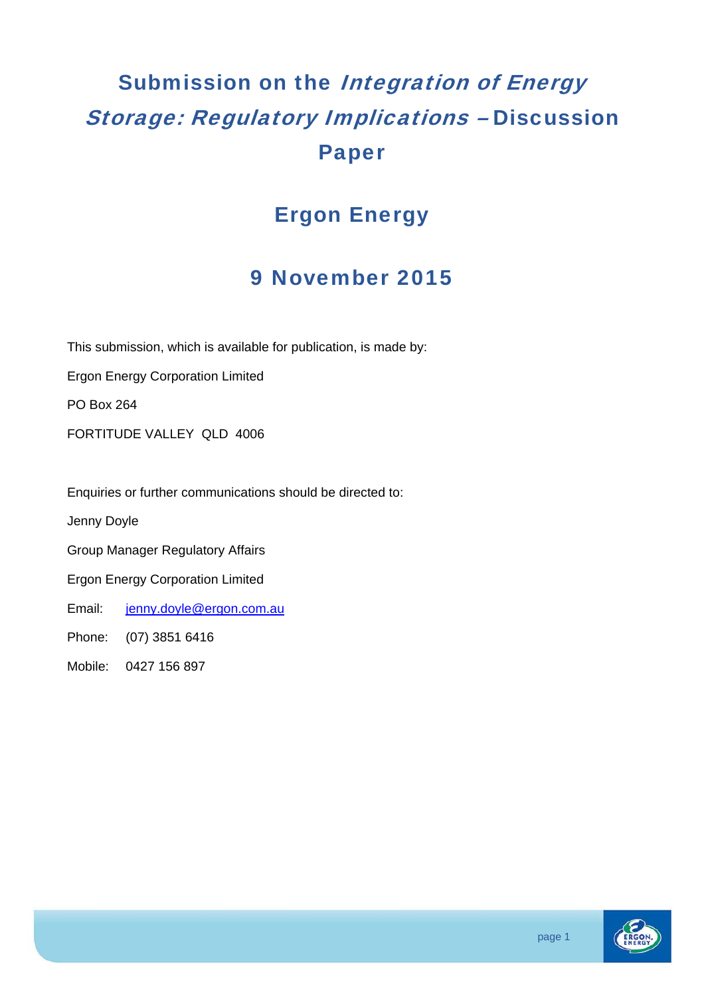# Submission on the *Integration of Energy* Storage: Regulatory Implications – Discussion Paper

### Ergon Energy

### 9 November 2015

This submission, which is available for publication, is made by:

Ergon Energy Corporation Limited

PO Box 264

FORTITUDE VALLEY QLD 4006

Enquiries or further communications should be directed to:

Jenny Doyle

Group Manager Regulatory Affairs

Ergon Energy Corporation Limited

Email: jenny.doyle@ergon.com.au

Phone: (07) 3851 6416

Mobile: 0427 156 897

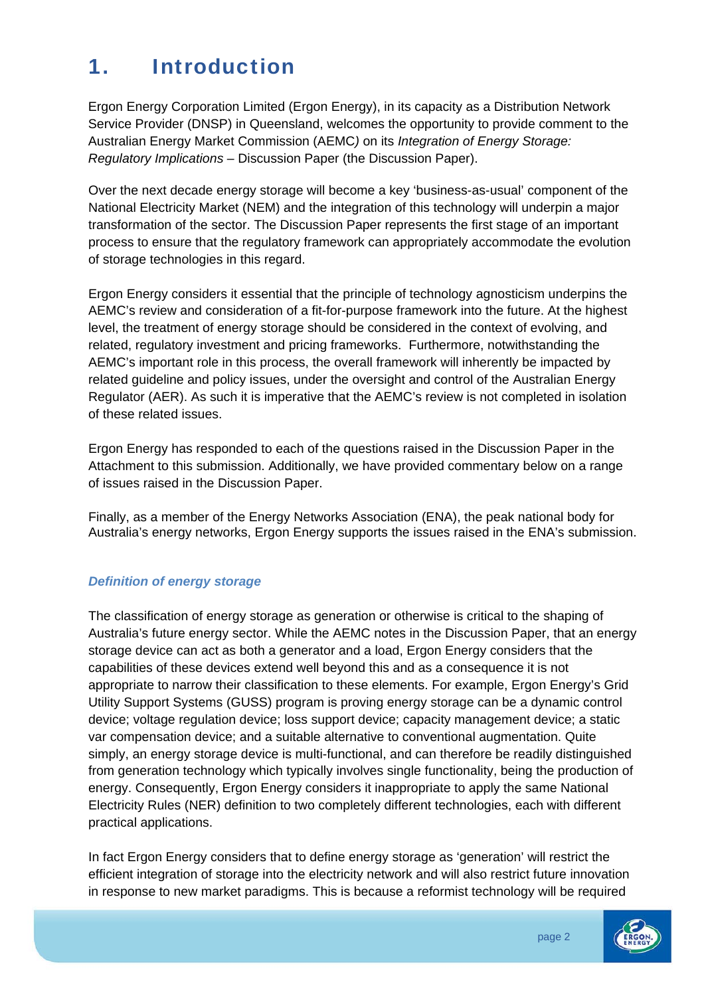## 1. Introduction

Ergon Energy Corporation Limited (Ergon Energy), in its capacity as a Distribution Network Service Provider (DNSP) in Queensland, welcomes the opportunity to provide comment to the Australian Energy Market Commission (AEMC*)* on its *Integration of Energy Storage: Regulatory Implications* – Discussion Paper (the Discussion Paper).

Over the next decade energy storage will become a key 'business-as-usual' component of the National Electricity Market (NEM) and the integration of this technology will underpin a major transformation of the sector. The Discussion Paper represents the first stage of an important process to ensure that the regulatory framework can appropriately accommodate the evolution of storage technologies in this regard.

Ergon Energy considers it essential that the principle of technology agnosticism underpins the AEMC's review and consideration of a fit-for-purpose framework into the future. At the highest level, the treatment of energy storage should be considered in the context of evolving, and related, regulatory investment and pricing frameworks. Furthermore, notwithstanding the AEMC's important role in this process, the overall framework will inherently be impacted by related guideline and policy issues, under the oversight and control of the Australian Energy Regulator (AER). As such it is imperative that the AEMC's review is not completed in isolation of these related issues.

Ergon Energy has responded to each of the questions raised in the Discussion Paper in the Attachment to this submission. Additionally, we have provided commentary below on a range of issues raised in the Discussion Paper.

Finally, as a member of the Energy Networks Association (ENA), the peak national body for Australia's energy networks, Ergon Energy supports the issues raised in the ENA's submission.

#### *Definition of energy storage*

The classification of energy storage as generation or otherwise is critical to the shaping of Australia's future energy sector. While the AEMC notes in the Discussion Paper, that an energy storage device can act as both a generator and a load, Ergon Energy considers that the capabilities of these devices extend well beyond this and as a consequence it is not appropriate to narrow their classification to these elements. For example, Ergon Energy's Grid Utility Support Systems (GUSS) program is proving energy storage can be a dynamic control device; voltage regulation device; loss support device; capacity management device; a static var compensation device; and a suitable alternative to conventional augmentation. Quite simply, an energy storage device is multi-functional, and can therefore be readily distinguished from generation technology which typically involves single functionality, being the production of energy. Consequently, Ergon Energy considers it inappropriate to apply the same National Electricity Rules (NER) definition to two completely different technologies, each with different practical applications.

In fact Ergon Energy considers that to define energy storage as 'generation' will restrict the efficient integration of storage into the electricity network and will also restrict future innovation in response to new market paradigms. This is because a reformist technology will be required

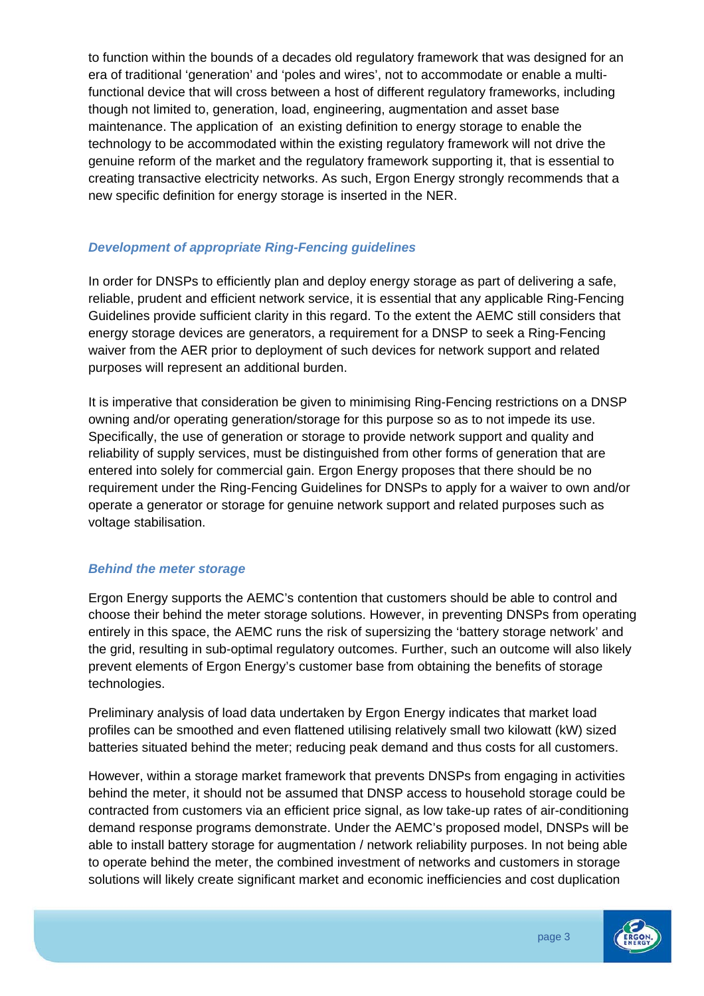to function within the bounds of a decades old regulatory framework that was designed for an era of traditional 'generation' and 'poles and wires', not to accommodate or enable a multifunctional device that will cross between a host of different regulatory frameworks, including though not limited to, generation, load, engineering, augmentation and asset base maintenance. The application of an existing definition to energy storage to enable the technology to be accommodated within the existing regulatory framework will not drive the genuine reform of the market and the regulatory framework supporting it, that is essential to creating transactive electricity networks. As such, Ergon Energy strongly recommends that a new specific definition for energy storage is inserted in the NER.

#### *Development of appropriate Ring-Fencing guidelines*

In order for DNSPs to efficiently plan and deploy energy storage as part of delivering a safe, reliable, prudent and efficient network service, it is essential that any applicable Ring-Fencing Guidelines provide sufficient clarity in this regard. To the extent the AEMC still considers that energy storage devices are generators, a requirement for a DNSP to seek a Ring-Fencing waiver from the AER prior to deployment of such devices for network support and related purposes will represent an additional burden.

It is imperative that consideration be given to minimising Ring-Fencing restrictions on a DNSP owning and/or operating generation/storage for this purpose so as to not impede its use. Specifically, the use of generation or storage to provide network support and quality and reliability of supply services, must be distinguished from other forms of generation that are entered into solely for commercial gain. Ergon Energy proposes that there should be no requirement under the Ring-Fencing Guidelines for DNSPs to apply for a waiver to own and/or operate a generator or storage for genuine network support and related purposes such as voltage stabilisation.

#### *Behind the meter storage*

Ergon Energy supports the AEMC's contention that customers should be able to control and choose their behind the meter storage solutions. However, in preventing DNSPs from operating entirely in this space, the AEMC runs the risk of supersizing the 'battery storage network' and the grid, resulting in sub-optimal regulatory outcomes. Further, such an outcome will also likely prevent elements of Ergon Energy's customer base from obtaining the benefits of storage technologies.

Preliminary analysis of load data undertaken by Ergon Energy indicates that market load profiles can be smoothed and even flattened utilising relatively small two kilowatt (kW) sized batteries situated behind the meter; reducing peak demand and thus costs for all customers.

However, within a storage market framework that prevents DNSPs from engaging in activities behind the meter, it should not be assumed that DNSP access to household storage could be contracted from customers via an efficient price signal, as low take-up rates of air-conditioning demand response programs demonstrate. Under the AEMC's proposed model, DNSPs will be able to install battery storage for augmentation / network reliability purposes. In not being able to operate behind the meter, the combined investment of networks and customers in storage solutions will likely create significant market and economic inefficiencies and cost duplication

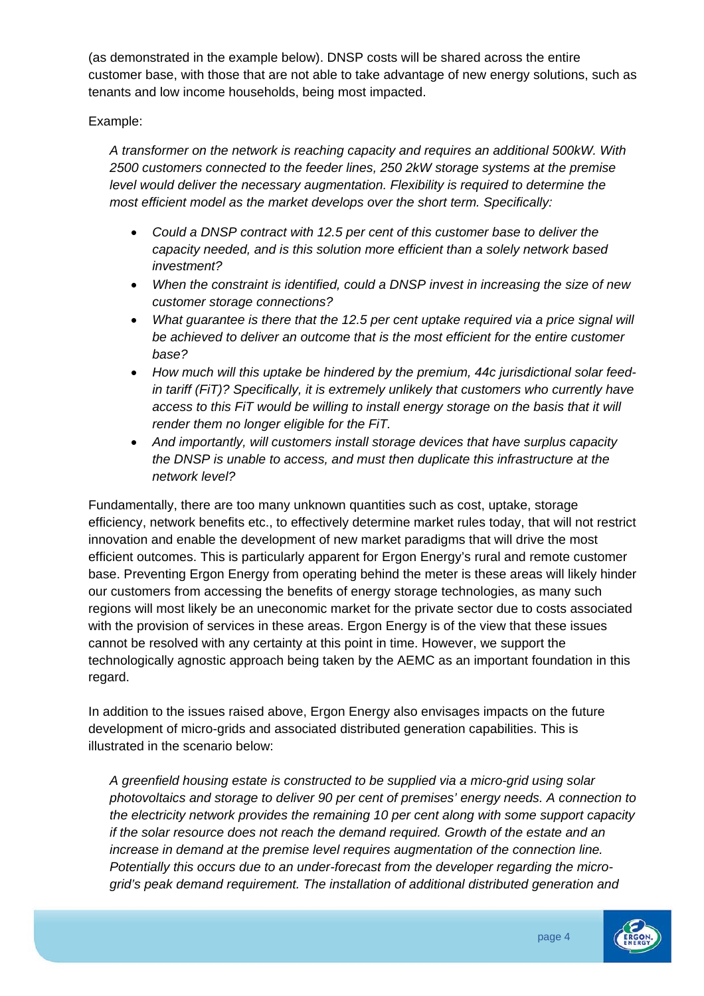(as demonstrated in the example below). DNSP costs will be shared across the entire customer base, with those that are not able to take advantage of new energy solutions, such as tenants and low income households, being most impacted.

Example:

*A transformer on the network is reaching capacity and requires an additional 500kW. With 2500 customers connected to the feeder lines, 250 2kW storage systems at the premise level would deliver the necessary augmentation. Flexibility is required to determine the most efficient model as the market develops over the short term. Specifically:* 

- *Could a DNSP contract with 12.5 per cent of this customer base to deliver the capacity needed, and is this solution more efficient than a solely network based investment?*
- *When the constraint is identified, could a DNSP invest in increasing the size of new customer storage connections?*
- *What guarantee is there that the 12.5 per cent uptake required via a price signal will be achieved to deliver an outcome that is the most efficient for the entire customer base?*
- *How much will this uptake be hindered by the premium, 44c jurisdictional solar feedin tariff (FiT)? Specifically, it is extremely unlikely that customers who currently have access to this FiT would be willing to install energy storage on the basis that it will render them no longer eligible for the FiT.*
- *And importantly, will customers install storage devices that have surplus capacity the DNSP is unable to access, and must then duplicate this infrastructure at the network level?*

Fundamentally, there are too many unknown quantities such as cost, uptake, storage efficiency, network benefits etc., to effectively determine market rules today, that will not restrict innovation and enable the development of new market paradigms that will drive the most efficient outcomes. This is particularly apparent for Ergon Energy's rural and remote customer base. Preventing Ergon Energy from operating behind the meter is these areas will likely hinder our customers from accessing the benefits of energy storage technologies, as many such regions will most likely be an uneconomic market for the private sector due to costs associated with the provision of services in these areas. Ergon Energy is of the view that these issues cannot be resolved with any certainty at this point in time. However, we support the technologically agnostic approach being taken by the AEMC as an important foundation in this regard.

In addition to the issues raised above, Ergon Energy also envisages impacts on the future development of micro-grids and associated distributed generation capabilities. This is illustrated in the scenario below:

*A greenfield housing estate is constructed to be supplied via a micro-grid using solar photovoltaics and storage to deliver 90 per cent of premises' energy needs. A connection to the electricity network provides the remaining 10 per cent along with some support capacity if the solar resource does not reach the demand required. Growth of the estate and an increase in demand at the premise level requires augmentation of the connection line. Potentially this occurs due to an under-forecast from the developer regarding the microgrid's peak demand requirement. The installation of additional distributed generation and* 

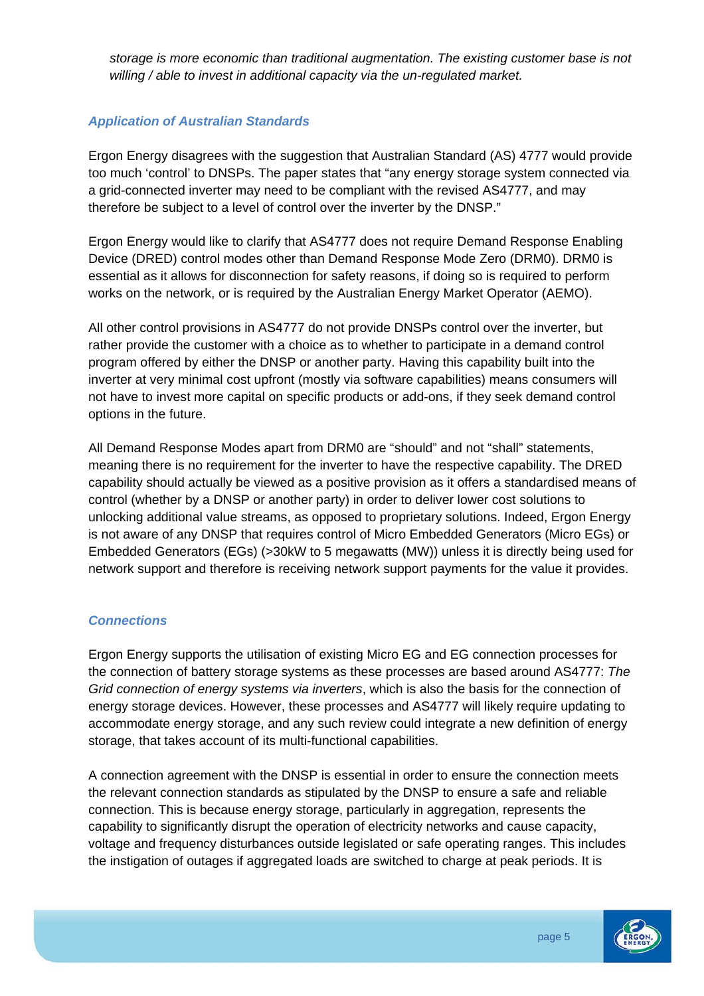*storage is more economic than traditional augmentation. The existing customer base is not willing / able to invest in additional capacity via the un-regulated market.* 

#### *Application of Australian Standards*

Ergon Energy disagrees with the suggestion that Australian Standard (AS) 4777 would provide too much 'control' to DNSPs. The paper states that "any energy storage system connected via a grid-connected inverter may need to be compliant with the revised AS4777, and may therefore be subject to a level of control over the inverter by the DNSP."

Ergon Energy would like to clarify that AS4777 does not require Demand Response Enabling Device (DRED) control modes other than Demand Response Mode Zero (DRM0). DRM0 is essential as it allows for disconnection for safety reasons, if doing so is required to perform works on the network, or is required by the Australian Energy Market Operator (AEMO).

All other control provisions in AS4777 do not provide DNSPs control over the inverter, but rather provide the customer with a choice as to whether to participate in a demand control program offered by either the DNSP or another party. Having this capability built into the inverter at very minimal cost upfront (mostly via software capabilities) means consumers will not have to invest more capital on specific products or add-ons, if they seek demand control options in the future.

All Demand Response Modes apart from DRM0 are "should" and not "shall" statements, meaning there is no requirement for the inverter to have the respective capability. The DRED capability should actually be viewed as a positive provision as it offers a standardised means of control (whether by a DNSP or another party) in order to deliver lower cost solutions to unlocking additional value streams, as opposed to proprietary solutions. Indeed, Ergon Energy is not aware of any DNSP that requires control of Micro Embedded Generators (Micro EGs) or Embedded Generators (EGs) (>30kW to 5 megawatts (MW)) unless it is directly being used for network support and therefore is receiving network support payments for the value it provides.

#### *Connections*

Ergon Energy supports the utilisation of existing Micro EG and EG connection processes for the connection of battery storage systems as these processes are based around AS4777: *The Grid connection of energy systems via inverters*, which is also the basis for the connection of energy storage devices. However, these processes and AS4777 will likely require updating to accommodate energy storage, and any such review could integrate a new definition of energy storage, that takes account of its multi-functional capabilities.

A connection agreement with the DNSP is essential in order to ensure the connection meets the relevant connection standards as stipulated by the DNSP to ensure a safe and reliable connection. This is because energy storage, particularly in aggregation, represents the capability to significantly disrupt the operation of electricity networks and cause capacity, voltage and frequency disturbances outside legislated or safe operating ranges. This includes the instigation of outages if aggregated loads are switched to charge at peak periods. It is

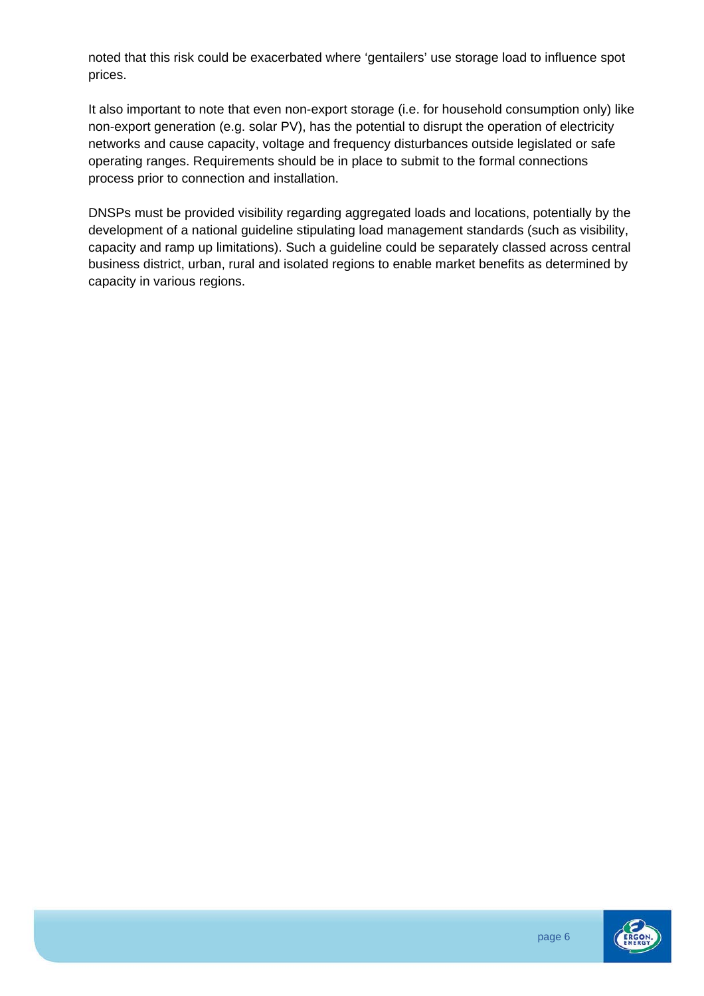noted that this risk could be exacerbated where 'gentailers' use storage load to influence spot prices.

It also important to note that even non-export storage (i.e. for household consumption only) like non-export generation (e.g. solar PV), has the potential to disrupt the operation of electricity networks and cause capacity, voltage and frequency disturbances outside legislated or safe operating ranges. Requirements should be in place to submit to the formal connections process prior to connection and installation.

DNSPs must be provided visibility regarding aggregated loads and locations, potentially by the development of a national guideline stipulating load management standards (such as visibility, capacity and ramp up limitations). Such a guideline could be separately classed across central business district, urban, rural and isolated regions to enable market benefits as determined by capacity in various regions.

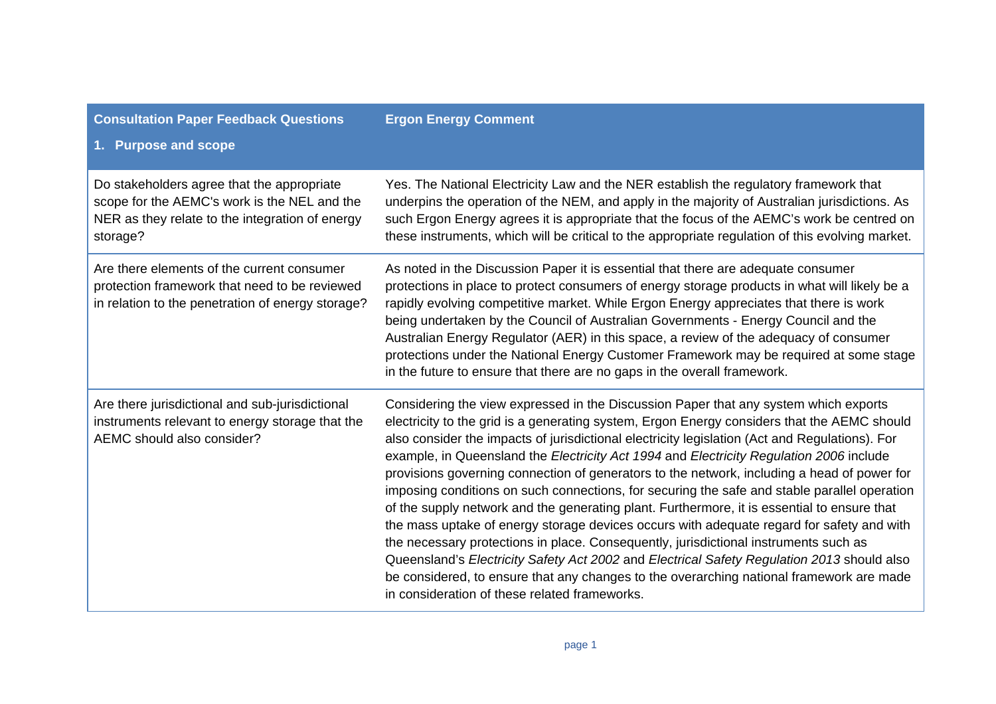| <b>Consultation Paper Feedback Questions</b><br>1. Purpose and scope                                                                                      | <b>Ergon Energy Comment</b>                                                                                                                                                                                                                                                                                                                                                                                                                                                                                                                                                                                                                                                                                                                                                                                                                                                                                                                                                                                                                                                                                    |
|-----------------------------------------------------------------------------------------------------------------------------------------------------------|----------------------------------------------------------------------------------------------------------------------------------------------------------------------------------------------------------------------------------------------------------------------------------------------------------------------------------------------------------------------------------------------------------------------------------------------------------------------------------------------------------------------------------------------------------------------------------------------------------------------------------------------------------------------------------------------------------------------------------------------------------------------------------------------------------------------------------------------------------------------------------------------------------------------------------------------------------------------------------------------------------------------------------------------------------------------------------------------------------------|
| Do stakeholders agree that the appropriate<br>scope for the AEMC's work is the NEL and the<br>NER as they relate to the integration of energy<br>storage? | Yes. The National Electricity Law and the NER establish the regulatory framework that<br>underpins the operation of the NEM, and apply in the majority of Australian jurisdictions. As<br>such Ergon Energy agrees it is appropriate that the focus of the AEMC's work be centred on<br>these instruments, which will be critical to the appropriate regulation of this evolving market.                                                                                                                                                                                                                                                                                                                                                                                                                                                                                                                                                                                                                                                                                                                       |
| Are there elements of the current consumer<br>protection framework that need to be reviewed<br>in relation to the penetration of energy storage?          | As noted in the Discussion Paper it is essential that there are adequate consumer<br>protections in place to protect consumers of energy storage products in what will likely be a<br>rapidly evolving competitive market. While Ergon Energy appreciates that there is work<br>being undertaken by the Council of Australian Governments - Energy Council and the<br>Australian Energy Regulator (AER) in this space, a review of the adequacy of consumer<br>protections under the National Energy Customer Framework may be required at some stage<br>in the future to ensure that there are no gaps in the overall framework.                                                                                                                                                                                                                                                                                                                                                                                                                                                                              |
| Are there jurisdictional and sub-jurisdictional<br>instruments relevant to energy storage that the<br>AEMC should also consider?                          | Considering the view expressed in the Discussion Paper that any system which exports<br>electricity to the grid is a generating system, Ergon Energy considers that the AEMC should<br>also consider the impacts of jurisdictional electricity legislation (Act and Regulations). For<br>example, in Queensland the Electricity Act 1994 and Electricity Regulation 2006 include<br>provisions governing connection of generators to the network, including a head of power for<br>imposing conditions on such connections, for securing the safe and stable parallel operation<br>of the supply network and the generating plant. Furthermore, it is essential to ensure that<br>the mass uptake of energy storage devices occurs with adequate regard for safety and with<br>the necessary protections in place. Consequently, jurisdictional instruments such as<br>Queensland's Electricity Safety Act 2002 and Electrical Safety Regulation 2013 should also<br>be considered, to ensure that any changes to the overarching national framework are made<br>in consideration of these related frameworks. |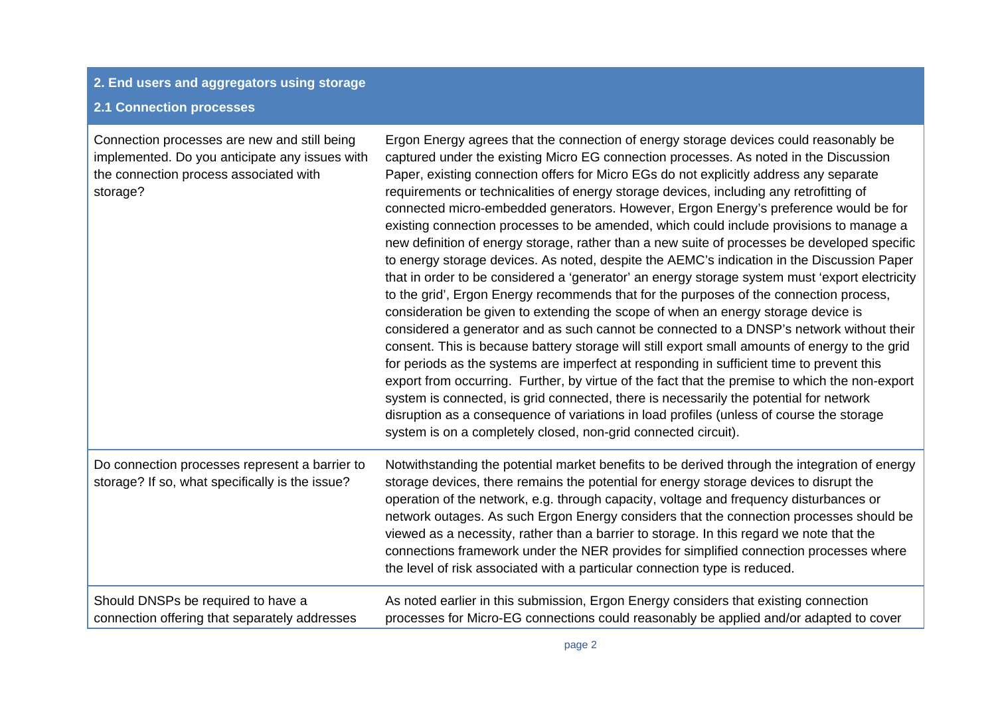### **2. End users and aggregators using storage 2.1 Connection processes**

| Connection processes are new and still being<br>implemented. Do you anticipate any issues with<br>the connection process associated with<br>storage? | Ergon Energy agrees that the connection of energy storage devices could reasonably be<br>captured under the existing Micro EG connection processes. As noted in the Discussion<br>Paper, existing connection offers for Micro EGs do not explicitly address any separate<br>requirements or technicalities of energy storage devices, including any retrofitting of<br>connected micro-embedded generators. However, Ergon Energy's preference would be for<br>existing connection processes to be amended, which could include provisions to manage a<br>new definition of energy storage, rather than a new suite of processes be developed specific<br>to energy storage devices. As noted, despite the AEMC's indication in the Discussion Paper<br>that in order to be considered a 'generator' an energy storage system must 'export electricity<br>to the grid', Ergon Energy recommends that for the purposes of the connection process,<br>consideration be given to extending the scope of when an energy storage device is<br>considered a generator and as such cannot be connected to a DNSP's network without their<br>consent. This is because battery storage will still export small amounts of energy to the grid<br>for periods as the systems are imperfect at responding in sufficient time to prevent this<br>export from occurring. Further, by virtue of the fact that the premise to which the non-export<br>system is connected, is grid connected, there is necessarily the potential for network<br>disruption as a consequence of variations in load profiles (unless of course the storage<br>system is on a completely closed, non-grid connected circuit). |
|------------------------------------------------------------------------------------------------------------------------------------------------------|--------------------------------------------------------------------------------------------------------------------------------------------------------------------------------------------------------------------------------------------------------------------------------------------------------------------------------------------------------------------------------------------------------------------------------------------------------------------------------------------------------------------------------------------------------------------------------------------------------------------------------------------------------------------------------------------------------------------------------------------------------------------------------------------------------------------------------------------------------------------------------------------------------------------------------------------------------------------------------------------------------------------------------------------------------------------------------------------------------------------------------------------------------------------------------------------------------------------------------------------------------------------------------------------------------------------------------------------------------------------------------------------------------------------------------------------------------------------------------------------------------------------------------------------------------------------------------------------------------------------------------------------------------------------------------------------|
| Do connection processes represent a barrier to<br>storage? If so, what specifically is the issue?                                                    | Notwithstanding the potential market benefits to be derived through the integration of energy<br>storage devices, there remains the potential for energy storage devices to disrupt the<br>operation of the network, e.g. through capacity, voltage and frequency disturbances or<br>network outages. As such Ergon Energy considers that the connection processes should be<br>viewed as a necessity, rather than a barrier to storage. In this regard we note that the<br>connections framework under the NER provides for simplified connection processes where<br>the level of risk associated with a particular connection type is reduced.                                                                                                                                                                                                                                                                                                                                                                                                                                                                                                                                                                                                                                                                                                                                                                                                                                                                                                                                                                                                                                           |
| Should DNSPs be required to have a<br>connection offering that separately addresses                                                                  | As noted earlier in this submission, Ergon Energy considers that existing connection<br>processes for Micro-EG connections could reasonably be applied and/or adapted to cover                                                                                                                                                                                                                                                                                                                                                                                                                                                                                                                                                                                                                                                                                                                                                                                                                                                                                                                                                                                                                                                                                                                                                                                                                                                                                                                                                                                                                                                                                                             |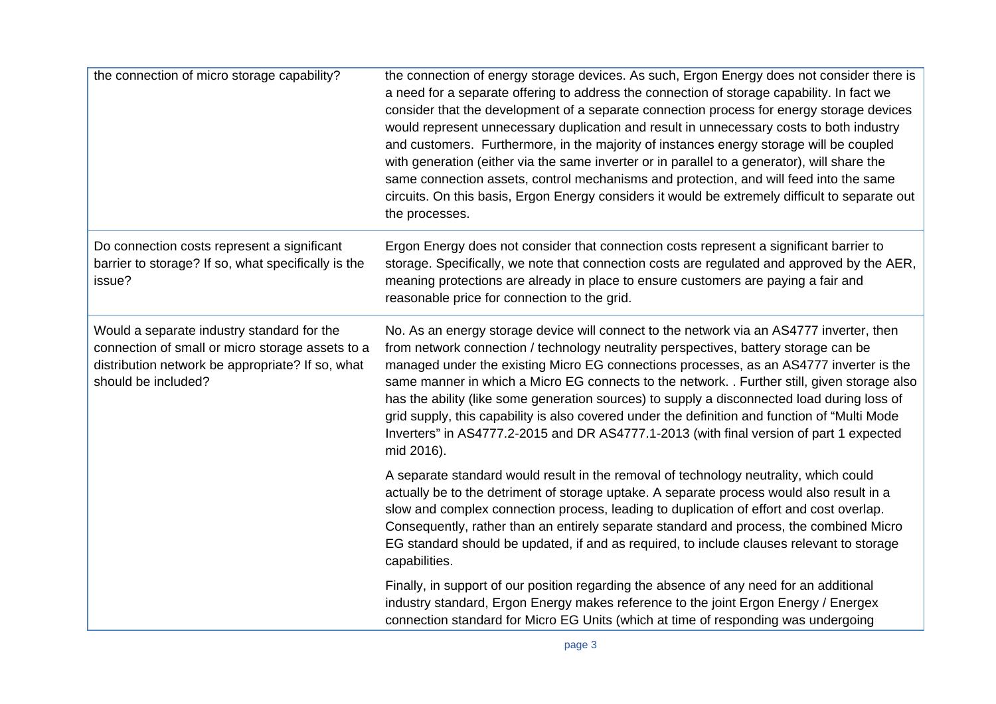| the connection of micro storage capability?                                                                                                                               | the connection of energy storage devices. As such, Ergon Energy does not consider there is<br>a need for a separate offering to address the connection of storage capability. In fact we<br>consider that the development of a separate connection process for energy storage devices<br>would represent unnecessary duplication and result in unnecessary costs to both industry<br>and customers. Furthermore, in the majority of instances energy storage will be coupled<br>with generation (either via the same inverter or in parallel to a generator), will share the<br>same connection assets, control mechanisms and protection, and will feed into the same<br>circuits. On this basis, Ergon Energy considers it would be extremely difficult to separate out<br>the processes. |
|---------------------------------------------------------------------------------------------------------------------------------------------------------------------------|---------------------------------------------------------------------------------------------------------------------------------------------------------------------------------------------------------------------------------------------------------------------------------------------------------------------------------------------------------------------------------------------------------------------------------------------------------------------------------------------------------------------------------------------------------------------------------------------------------------------------------------------------------------------------------------------------------------------------------------------------------------------------------------------|
| Do connection costs represent a significant<br>barrier to storage? If so, what specifically is the<br>issue?                                                              | Ergon Energy does not consider that connection costs represent a significant barrier to<br>storage. Specifically, we note that connection costs are regulated and approved by the AER,<br>meaning protections are already in place to ensure customers are paying a fair and<br>reasonable price for connection to the grid.                                                                                                                                                                                                                                                                                                                                                                                                                                                                |
| Would a separate industry standard for the<br>connection of small or micro storage assets to a<br>distribution network be appropriate? If so, what<br>should be included? | No. As an energy storage device will connect to the network via an AS4777 inverter, then<br>from network connection / technology neutrality perspectives, battery storage can be<br>managed under the existing Micro EG connections processes, as an AS4777 inverter is the<br>same manner in which a Micro EG connects to the network. . Further still, given storage also<br>has the ability (like some generation sources) to supply a disconnected load during loss of<br>grid supply, this capability is also covered under the definition and function of "Multi Mode<br>Inverters" in AS4777.2-2015 and DR AS4777.1-2013 (with final version of part 1 expected<br>mid 2016).                                                                                                        |
|                                                                                                                                                                           | A separate standard would result in the removal of technology neutrality, which could<br>actually be to the detriment of storage uptake. A separate process would also result in a<br>slow and complex connection process, leading to duplication of effort and cost overlap.<br>Consequently, rather than an entirely separate standard and process, the combined Micro<br>EG standard should be updated, if and as required, to include clauses relevant to storage<br>capabilities.                                                                                                                                                                                                                                                                                                      |
|                                                                                                                                                                           | Finally, in support of our position regarding the absence of any need for an additional<br>industry standard, Ergon Energy makes reference to the joint Ergon Energy / Energex<br>connection standard for Micro EG Units (which at time of responding was undergoing                                                                                                                                                                                                                                                                                                                                                                                                                                                                                                                        |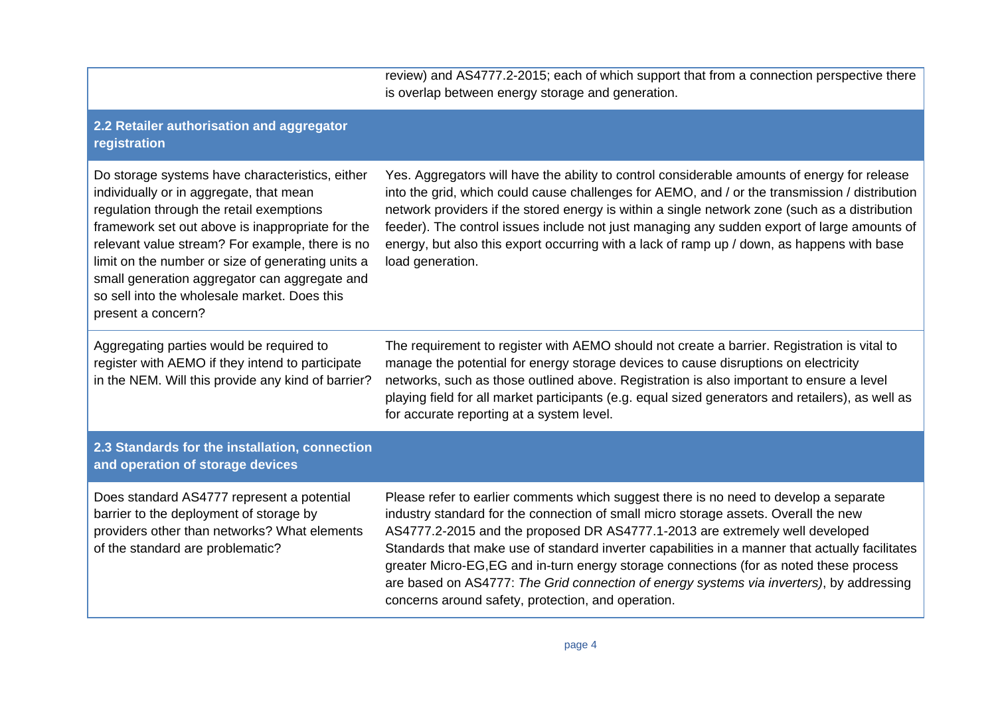review) and AS4777.2-2015; each of which support that from a connection perspective there is overlap between energy storage and generation.

#### **2.2 Retailer authorisation and aggregator registration**

Do storage systems have characteristics, either individually or in aggregate, that mean regulation through the retail exemptions framework set out above is inappropriate for the relevant value stream? For example, there is no limit on the number or size of generating units a small generation aggregator can aggregate and so sell into the wholesale market. Does this present a concern?

Aggregating parties would be required to register with AEMO if they intend to participate in the NEM. Will this provide any kind of barrier? Yes. Aggregators will have the ability to control considerable amounts of energy for release into the grid, which could cause challenges for AEMO, and / or the transmission / distribution network providers if the stored energy is within a single network zone (such as a distribution feeder). The control issues include not just managing any sudden export of large amounts of energy, but also this export occurring with a lack of ramp up / down, as happens with base load generation.

The requirement to register with AEMO should not create a barrier. Registration is vital to manage the potential for energy storage devices to cause disruptions on electricity networks, such as those outlined above. Registration is also important to ensure a level playing field for all market participants (e.g. equal sized generators and retailers), as well as for accurate reporting at a system level.

#### **2.3 Standards for the installation, connection and operation of storage devices**

Does standard AS4777 represent a potential barrier to the deployment of storage by providers other than networks? What elements of the standard are problematic?

Please refer to earlier comments which suggest there is no need to develop a separate industry standard for the connection of small micro storage assets. Overall the new AS4777.2-2015 and the proposed DR AS4777.1-2013 are extremely well developed Standards that make use of standard inverter capabilities in a manner that actually facilitates greater Micro-EG,EG and in-turn energy storage connections (for as noted these process are based on AS4777: *The Grid connection of energy systems via inverters)*, by addressing concerns around safety, protection, and operation.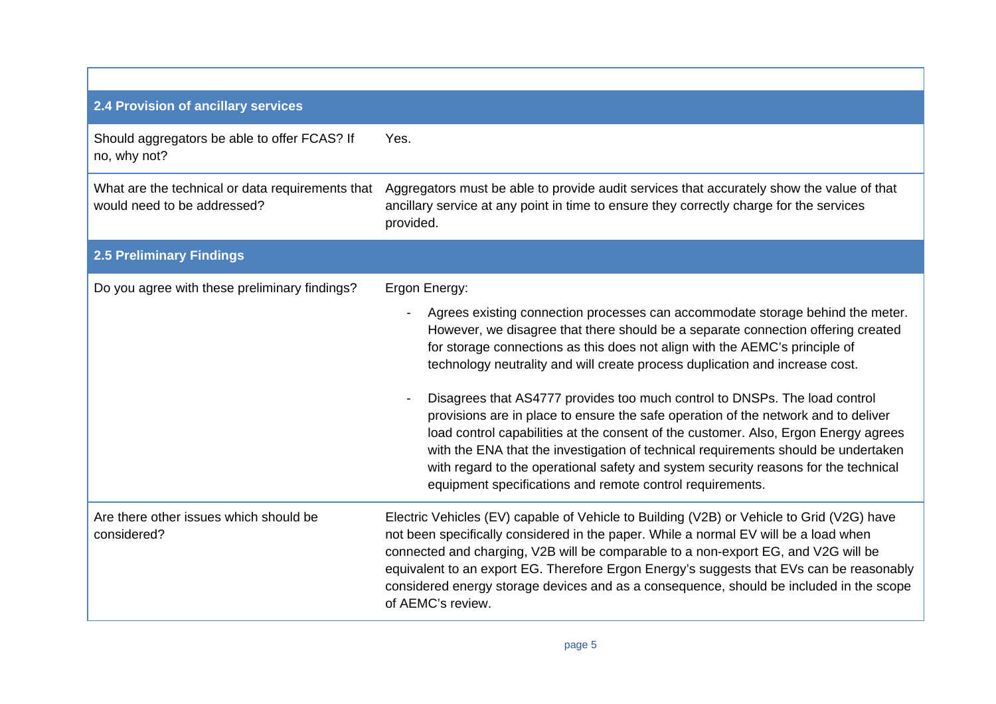### **2.4 Provision of ancillary services**  Should aggregators be able to offer FCAS? If no, why not? Yes. What are the technical or data requirements that would need to be addressed? Aggregators must be able to provide audit services that accurately show the value of that ancillary service at any point in time to ensure they correctly charge for the services provided. **2.5 Preliminary Findings**  Do you agree with these preliminary findings? Ergon Energy: Agrees existing connection processes can accommodate storage behind the meter. However, we disagree that there should be a separate connection offering created for storage connections as this does not align with the AEMC's principle of technology neutrality and will create process duplication and increase cost. - Disagrees that AS4777 provides too much control to DNSPs. The load control provisions are in place to ensure the safe operation of the network and to deliver load control capabilities at the consent of the customer. Also, Ergon Energy agrees with the ENA that the investigation of technical requirements should be undertaken with regard to the operational safety and system security reasons for the technical equipment specifications and remote control requirements. Are there other issues which should be considered? Electric Vehicles (EV) capable of Vehicle to Building (V2B) or Vehicle to Grid (V2G) have not been specifically considered in the paper. While a normal EV will be a load when connected and charging, V2B will be comparable to a non-export EG, and V2G will be equivalent to an export EG. Therefore Ergon Energy's suggests that EVs can be reasonably considered energy storage devices and as a consequence, should be included in the scope of AEMC's review.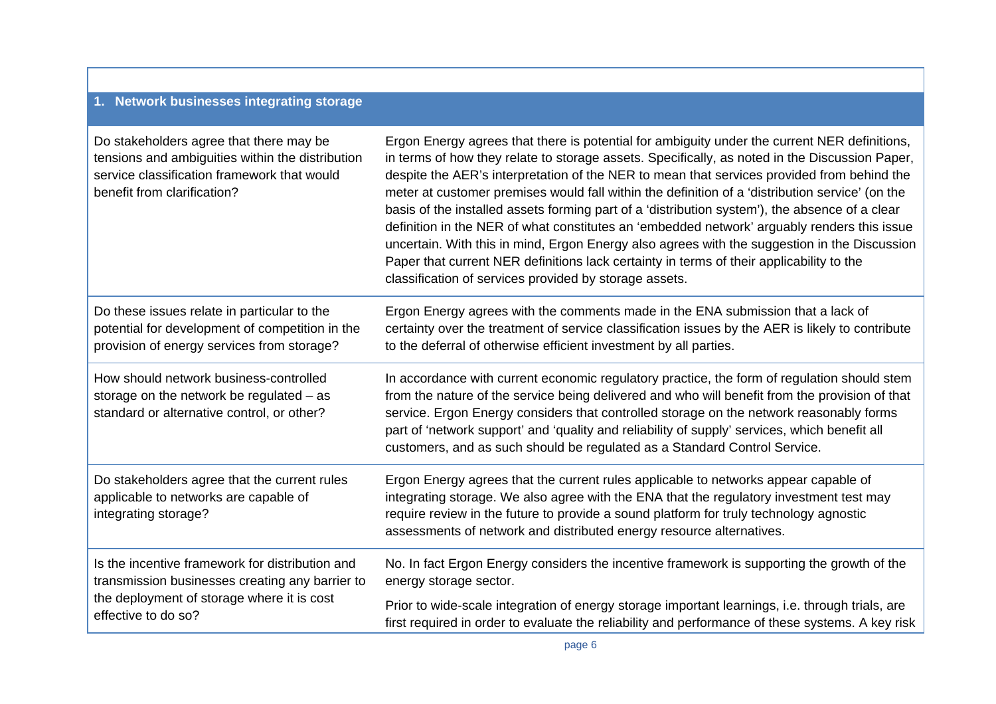#### **1. Network businesses integrating storage**

| Do stakeholders agree that there may be<br>tensions and ambiguities within the distribution<br>service classification framework that would<br>benefit from clarification? | Ergon Energy agrees that there is potential for ambiguity under the current NER definitions,<br>in terms of how they relate to storage assets. Specifically, as noted in the Discussion Paper,<br>despite the AER's interpretation of the NER to mean that services provided from behind the<br>meter at customer premises would fall within the definition of a 'distribution service' (on the<br>basis of the installed assets forming part of a 'distribution system'), the absence of a clear<br>definition in the NER of what constitutes an 'embedded network' arguably renders this issue<br>uncertain. With this in mind, Ergon Energy also agrees with the suggestion in the Discussion<br>Paper that current NER definitions lack certainty in terms of their applicability to the<br>classification of services provided by storage assets. |
|---------------------------------------------------------------------------------------------------------------------------------------------------------------------------|--------------------------------------------------------------------------------------------------------------------------------------------------------------------------------------------------------------------------------------------------------------------------------------------------------------------------------------------------------------------------------------------------------------------------------------------------------------------------------------------------------------------------------------------------------------------------------------------------------------------------------------------------------------------------------------------------------------------------------------------------------------------------------------------------------------------------------------------------------|
| Do these issues relate in particular to the                                                                                                                               | Ergon Energy agrees with the comments made in the ENA submission that a lack of                                                                                                                                                                                                                                                                                                                                                                                                                                                                                                                                                                                                                                                                                                                                                                        |
| potential for development of competition in the                                                                                                                           | certainty over the treatment of service classification issues by the AER is likely to contribute                                                                                                                                                                                                                                                                                                                                                                                                                                                                                                                                                                                                                                                                                                                                                       |
| provision of energy services from storage?                                                                                                                                | to the deferral of otherwise efficient investment by all parties.                                                                                                                                                                                                                                                                                                                                                                                                                                                                                                                                                                                                                                                                                                                                                                                      |
| How should network business-controlled<br>storage on the network be regulated - as<br>standard or alternative control, or other?                                          | In accordance with current economic regulatory practice, the form of regulation should stem<br>from the nature of the service being delivered and who will benefit from the provision of that<br>service. Ergon Energy considers that controlled storage on the network reasonably forms<br>part of 'network support' and 'quality and reliability of supply' services, which benefit all<br>customers, and as such should be regulated as a Standard Control Service.                                                                                                                                                                                                                                                                                                                                                                                 |
| Do stakeholders agree that the current rules<br>applicable to networks are capable of<br>integrating storage?                                                             | Ergon Energy agrees that the current rules applicable to networks appear capable of<br>integrating storage. We also agree with the ENA that the regulatory investment test may<br>require review in the future to provide a sound platform for truly technology agnostic<br>assessments of network and distributed energy resource alternatives.                                                                                                                                                                                                                                                                                                                                                                                                                                                                                                       |
| Is the incentive framework for distribution and                                                                                                                           | No. In fact Ergon Energy considers the incentive framework is supporting the growth of the                                                                                                                                                                                                                                                                                                                                                                                                                                                                                                                                                                                                                                                                                                                                                             |
| transmission businesses creating any barrier to                                                                                                                           | energy storage sector.                                                                                                                                                                                                                                                                                                                                                                                                                                                                                                                                                                                                                                                                                                                                                                                                                                 |
| the deployment of storage where it is cost                                                                                                                                | Prior to wide-scale integration of energy storage important learnings, i.e. through trials, are                                                                                                                                                                                                                                                                                                                                                                                                                                                                                                                                                                                                                                                                                                                                                        |
| effective to do so?                                                                                                                                                       | first required in order to evaluate the reliability and performance of these systems. A key risk                                                                                                                                                                                                                                                                                                                                                                                                                                                                                                                                                                                                                                                                                                                                                       |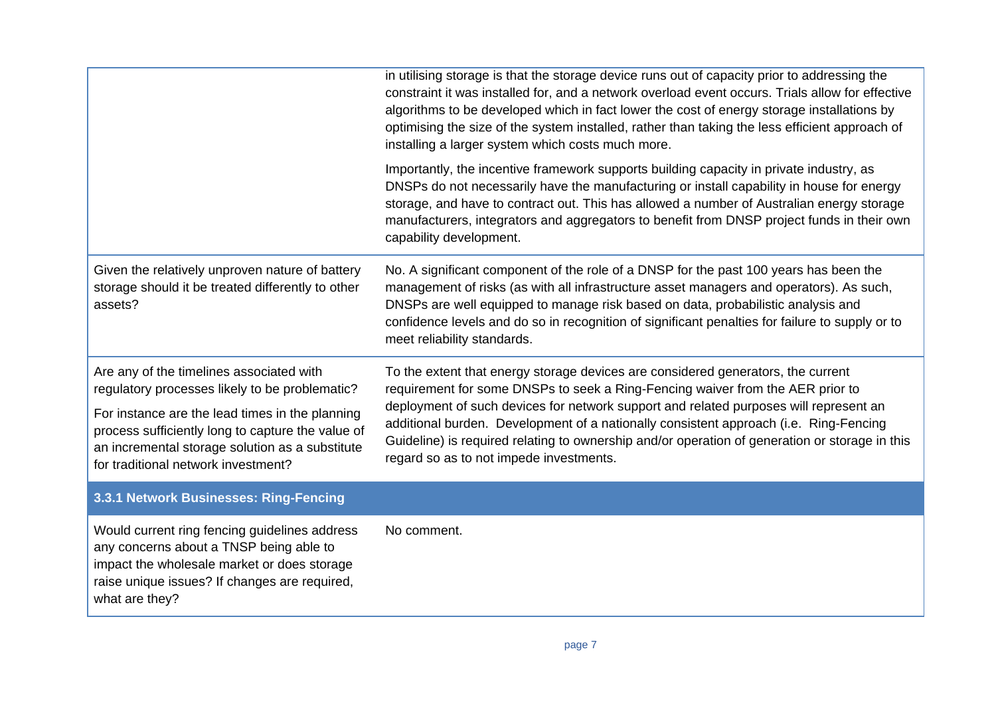|                                                                                                                                                                                                                                                                                              | in utilising storage is that the storage device runs out of capacity prior to addressing the<br>constraint it was installed for, and a network overload event occurs. Trials allow for effective<br>algorithms to be developed which in fact lower the cost of energy storage installations by<br>optimising the size of the system installed, rather than taking the less efficient approach of<br>installing a larger system which costs much more.                                             |
|----------------------------------------------------------------------------------------------------------------------------------------------------------------------------------------------------------------------------------------------------------------------------------------------|---------------------------------------------------------------------------------------------------------------------------------------------------------------------------------------------------------------------------------------------------------------------------------------------------------------------------------------------------------------------------------------------------------------------------------------------------------------------------------------------------|
|                                                                                                                                                                                                                                                                                              | Importantly, the incentive framework supports building capacity in private industry, as<br>DNSPs do not necessarily have the manufacturing or install capability in house for energy<br>storage, and have to contract out. This has allowed a number of Australian energy storage<br>manufacturers, integrators and aggregators to benefit from DNSP project funds in their own<br>capability development.                                                                                        |
| Given the relatively unproven nature of battery<br>storage should it be treated differently to other<br>assets?                                                                                                                                                                              | No. A significant component of the role of a DNSP for the past 100 years has been the<br>management of risks (as with all infrastructure asset managers and operators). As such,<br>DNSPs are well equipped to manage risk based on data, probabilistic analysis and<br>confidence levels and do so in recognition of significant penalties for failure to supply or to<br>meet reliability standards.                                                                                            |
| Are any of the timelines associated with<br>regulatory processes likely to be problematic?<br>For instance are the lead times in the planning<br>process sufficiently long to capture the value of<br>an incremental storage solution as a substitute<br>for traditional network investment? | To the extent that energy storage devices are considered generators, the current<br>requirement for some DNSPs to seek a Ring-Fencing waiver from the AER prior to<br>deployment of such devices for network support and related purposes will represent an<br>additional burden. Development of a nationally consistent approach (i.e. Ring-Fencing<br>Guideline) is required relating to ownership and/or operation of generation or storage in this<br>regard so as to not impede investments. |
| 3.3.1 Network Businesses: Ring-Fencing                                                                                                                                                                                                                                                       |                                                                                                                                                                                                                                                                                                                                                                                                                                                                                                   |
| Would current ring fencing guidelines address<br>any concerns about a TNSP being able to<br>impact the wholesale market or does storage<br>raise unique issues? If changes are required,<br>what are they?                                                                                   | No comment.                                                                                                                                                                                                                                                                                                                                                                                                                                                                                       |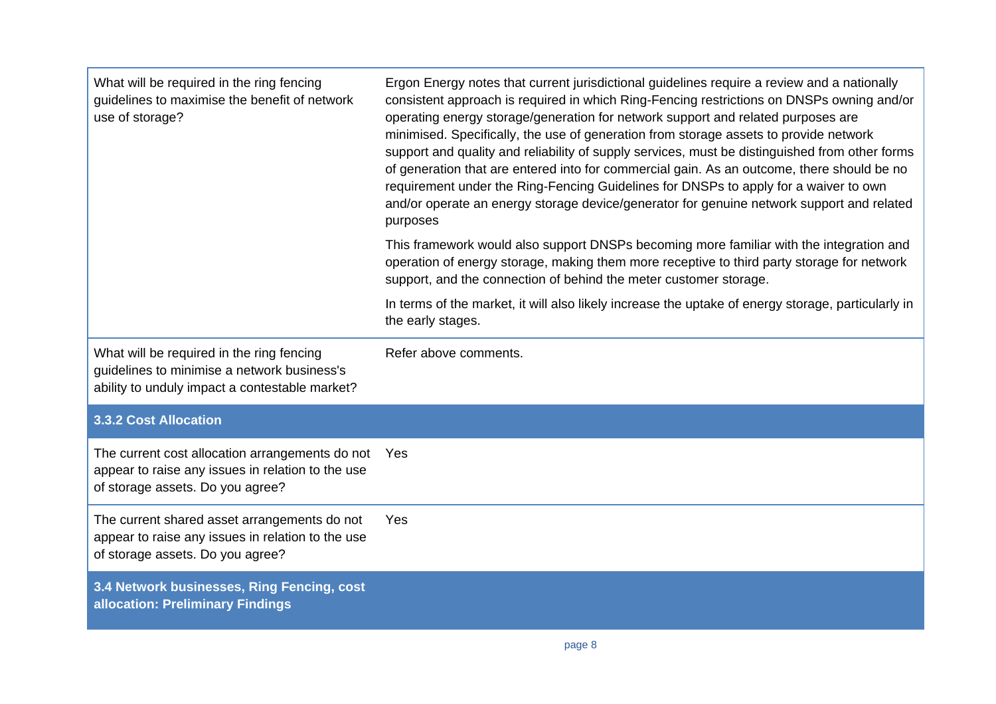| What will be required in the ring fencing<br>guidelines to maximise the benefit of network<br>use of storage?                              | Ergon Energy notes that current jurisdictional guidelines require a review and a nationally<br>consistent approach is required in which Ring-Fencing restrictions on DNSPs owning and/or<br>operating energy storage/generation for network support and related purposes are<br>minimised. Specifically, the use of generation from storage assets to provide network<br>support and quality and reliability of supply services, must be distinguished from other forms<br>of generation that are entered into for commercial gain. As an outcome, there should be no<br>requirement under the Ring-Fencing Guidelines for DNSPs to apply for a waiver to own<br>and/or operate an energy storage device/generator for genuine network support and related<br>purposes |
|--------------------------------------------------------------------------------------------------------------------------------------------|------------------------------------------------------------------------------------------------------------------------------------------------------------------------------------------------------------------------------------------------------------------------------------------------------------------------------------------------------------------------------------------------------------------------------------------------------------------------------------------------------------------------------------------------------------------------------------------------------------------------------------------------------------------------------------------------------------------------------------------------------------------------|
|                                                                                                                                            | This framework would also support DNSPs becoming more familiar with the integration and<br>operation of energy storage, making them more receptive to third party storage for network<br>support, and the connection of behind the meter customer storage.                                                                                                                                                                                                                                                                                                                                                                                                                                                                                                             |
|                                                                                                                                            | In terms of the market, it will also likely increase the uptake of energy storage, particularly in<br>the early stages.                                                                                                                                                                                                                                                                                                                                                                                                                                                                                                                                                                                                                                                |
| What will be required in the ring fencing<br>guidelines to minimise a network business's<br>ability to unduly impact a contestable market? | Refer above comments.                                                                                                                                                                                                                                                                                                                                                                                                                                                                                                                                                                                                                                                                                                                                                  |
| <b>3.3.2 Cost Allocation</b>                                                                                                               |                                                                                                                                                                                                                                                                                                                                                                                                                                                                                                                                                                                                                                                                                                                                                                        |
| The current cost allocation arrangements do not<br>appear to raise any issues in relation to the use<br>of storage assets. Do you agree?   | Yes                                                                                                                                                                                                                                                                                                                                                                                                                                                                                                                                                                                                                                                                                                                                                                    |
| The current shared asset arrangements do not<br>appear to raise any issues in relation to the use<br>of storage assets. Do you agree?      | Yes                                                                                                                                                                                                                                                                                                                                                                                                                                                                                                                                                                                                                                                                                                                                                                    |
| 3.4 Network businesses, Ring Fencing, cost<br>allocation: Preliminary Findings                                                             |                                                                                                                                                                                                                                                                                                                                                                                                                                                                                                                                                                                                                                                                                                                                                                        |

T.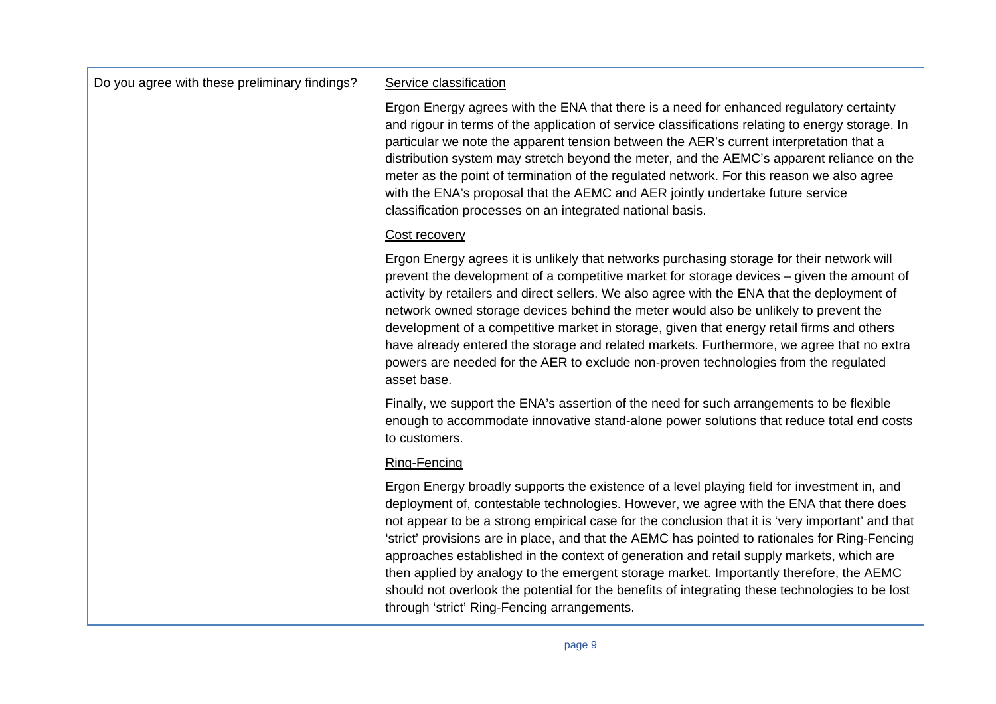Do you agree with these preliminary findings? Service classification

Ergon Energy agrees with the ENA that there is a need for enhanced regulatory certainty and rigour in terms of the application of service classifications relating to energy storage. In particular we note the apparent tension between the AER's current interpretation that a distribution system may stretch beyond the meter, and the AEMC's apparent reliance on the meter as the point of termination of the regulated network. For this reason we also agree with the ENA's proposal that the AEMC and AER jointly undertake future service classification processes on an integrated national basis.

#### Cost recovery

Ergon Energy agrees it is unlikely that networks purchasing storage for their network will prevent the development of a competitive market for storage devices – given the amount of activity by retailers and direct sellers. We also agree with the ENA that the deployment of network owned storage devices behind the meter would also be unlikely to prevent the development of a competitive market in storage, given that energy retail firms and others have already entered the storage and related markets. Furthermore, we agree that no extra powers are needed for the AER to exclude non-proven technologies from the regulated asset base.

Finally, we support the ENA's assertion of the need for such arrangements to be flexible enough to accommodate innovative stand-alone power solutions that reduce total end costs to customers.

#### Ring-Fencing

Ergon Energy broadly supports the existence of a level playing field for investment in, and deployment of, contestable technologies. However, we agree with the ENA that there does not appear to be a strong empirical case for the conclusion that it is 'very important' and that 'strict' provisions are in place, and that the AEMC has pointed to rationales for Ring-Fencing approaches established in the context of generation and retail supply markets, which are then applied by analogy to the emergent storage market. Importantly therefore, the AEMC should not overlook the potential for the benefits of integrating these technologies to be lost through 'strict' Ring-Fencing arrangements.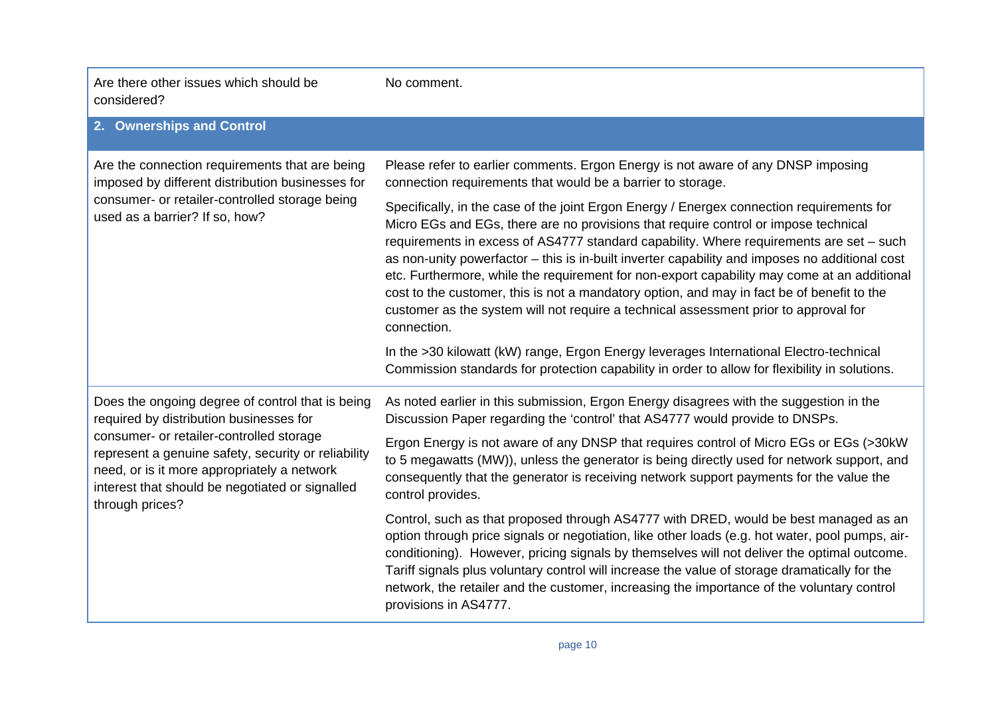| Are there other issues which should be<br>considered?                                                                                                                                                                                                                                                               | No comment.                                                                                                                                                                                                                                                                                                                                                                                                                                                                                                                                                                                                                                                                       |
|---------------------------------------------------------------------------------------------------------------------------------------------------------------------------------------------------------------------------------------------------------------------------------------------------------------------|-----------------------------------------------------------------------------------------------------------------------------------------------------------------------------------------------------------------------------------------------------------------------------------------------------------------------------------------------------------------------------------------------------------------------------------------------------------------------------------------------------------------------------------------------------------------------------------------------------------------------------------------------------------------------------------|
| 2. Ownerships and Control                                                                                                                                                                                                                                                                                           |                                                                                                                                                                                                                                                                                                                                                                                                                                                                                                                                                                                                                                                                                   |
| Are the connection requirements that are being<br>imposed by different distribution businesses for<br>consumer- or retailer-controlled storage being<br>used as a barrier? If so, how?                                                                                                                              | Please refer to earlier comments. Ergon Energy is not aware of any DNSP imposing<br>connection requirements that would be a barrier to storage.                                                                                                                                                                                                                                                                                                                                                                                                                                                                                                                                   |
|                                                                                                                                                                                                                                                                                                                     | Specifically, in the case of the joint Ergon Energy / Energex connection requirements for<br>Micro EGs and EGs, there are no provisions that require control or impose technical<br>requirements in excess of AS4777 standard capability. Where requirements are set - such<br>as non-unity powerfactor – this is in-built inverter capability and imposes no additional cost<br>etc. Furthermore, while the requirement for non-export capability may come at an additional<br>cost to the customer, this is not a mandatory option, and may in fact be of benefit to the<br>customer as the system will not require a technical assessment prior to approval for<br>connection. |
|                                                                                                                                                                                                                                                                                                                     | In the >30 kilowatt (kW) range, Ergon Energy leverages International Electro-technical<br>Commission standards for protection capability in order to allow for flexibility in solutions.                                                                                                                                                                                                                                                                                                                                                                                                                                                                                          |
| Does the ongoing degree of control that is being<br>required by distribution businesses for<br>consumer- or retailer-controlled storage<br>represent a genuine safety, security or reliability<br>need, or is it more appropriately a network<br>interest that should be negotiated or signalled<br>through prices? | As noted earlier in this submission, Ergon Energy disagrees with the suggestion in the<br>Discussion Paper regarding the 'control' that AS4777 would provide to DNSPs.                                                                                                                                                                                                                                                                                                                                                                                                                                                                                                            |
|                                                                                                                                                                                                                                                                                                                     | Ergon Energy is not aware of any DNSP that requires control of Micro EGs or EGs (>30kW<br>to 5 megawatts (MW)), unless the generator is being directly used for network support, and<br>consequently that the generator is receiving network support payments for the value the<br>control provides.                                                                                                                                                                                                                                                                                                                                                                              |
|                                                                                                                                                                                                                                                                                                                     | Control, such as that proposed through AS4777 with DRED, would be best managed as an<br>option through price signals or negotiation, like other loads (e.g. hot water, pool pumps, air-<br>conditioning). However, pricing signals by themselves will not deliver the optimal outcome.<br>Tariff signals plus voluntary control will increase the value of storage dramatically for the<br>network, the retailer and the customer, increasing the importance of the voluntary control<br>provisions in AS4777.                                                                                                                                                                    |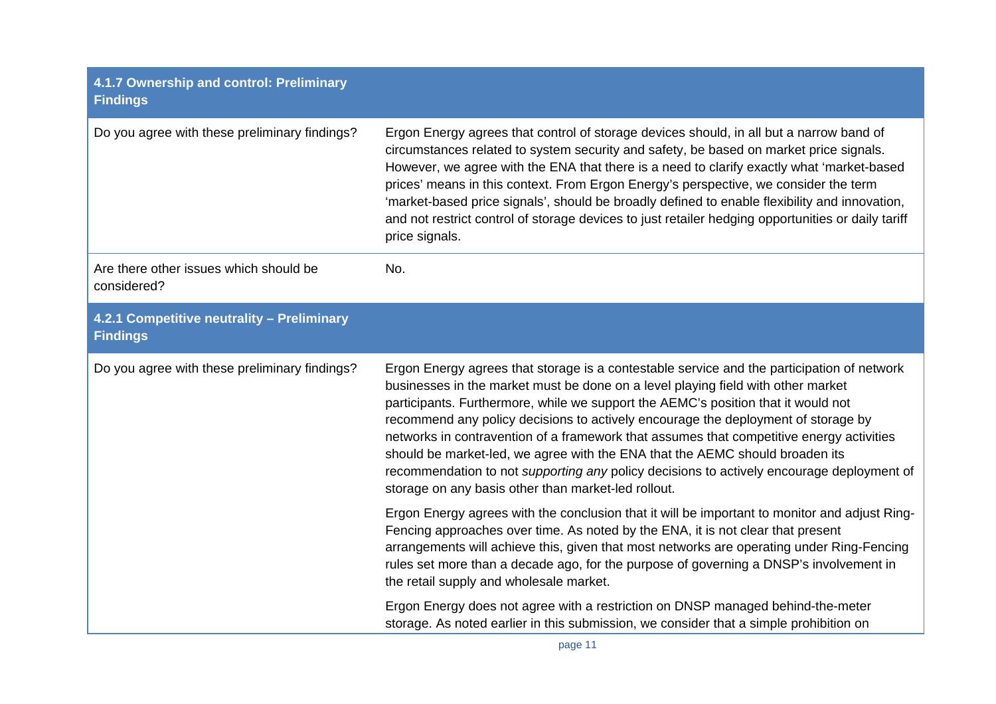| 4.1.7 Ownership and control: Preliminary<br><b>Findings</b>   |                                                                                                                                                                                                                                                                                                                                                                                                                                                                                                                                                                                                                                                                                          |
|---------------------------------------------------------------|------------------------------------------------------------------------------------------------------------------------------------------------------------------------------------------------------------------------------------------------------------------------------------------------------------------------------------------------------------------------------------------------------------------------------------------------------------------------------------------------------------------------------------------------------------------------------------------------------------------------------------------------------------------------------------------|
| Do you agree with these preliminary findings?                 | Ergon Energy agrees that control of storage devices should, in all but a narrow band of<br>circumstances related to system security and safety, be based on market price signals.<br>However, we agree with the ENA that there is a need to clarify exactly what 'market-based<br>prices' means in this context. From Ergon Energy's perspective, we consider the term<br>'market-based price signals', should be broadly defined to enable flexibility and innovation,<br>and not restrict control of storage devices to just retailer hedging opportunities or daily tariff<br>price signals.                                                                                          |
| Are there other issues which should be<br>considered?         | No.                                                                                                                                                                                                                                                                                                                                                                                                                                                                                                                                                                                                                                                                                      |
| 4.2.1 Competitive neutrality - Preliminary<br><b>Findings</b> |                                                                                                                                                                                                                                                                                                                                                                                                                                                                                                                                                                                                                                                                                          |
| Do you agree with these preliminary findings?                 | Ergon Energy agrees that storage is a contestable service and the participation of network<br>businesses in the market must be done on a level playing field with other market<br>participants. Furthermore, while we support the AEMC's position that it would not<br>recommend any policy decisions to actively encourage the deployment of storage by<br>networks in contravention of a framework that assumes that competitive energy activities<br>should be market-led, we agree with the ENA that the AEMC should broaden its<br>recommendation to not supporting any policy decisions to actively encourage deployment of<br>storage on any basis other than market-led rollout. |
|                                                               | Ergon Energy agrees with the conclusion that it will be important to monitor and adjust Ring-<br>Fencing approaches over time. As noted by the ENA, it is not clear that present<br>arrangements will achieve this, given that most networks are operating under Ring-Fencing<br>rules set more than a decade ago, for the purpose of governing a DNSP's involvement in<br>the retail supply and wholesale market.                                                                                                                                                                                                                                                                       |
|                                                               | Ergon Energy does not agree with a restriction on DNSP managed behind-the-meter<br>storage. As noted earlier in this submission, we consider that a simple prohibition on                                                                                                                                                                                                                                                                                                                                                                                                                                                                                                                |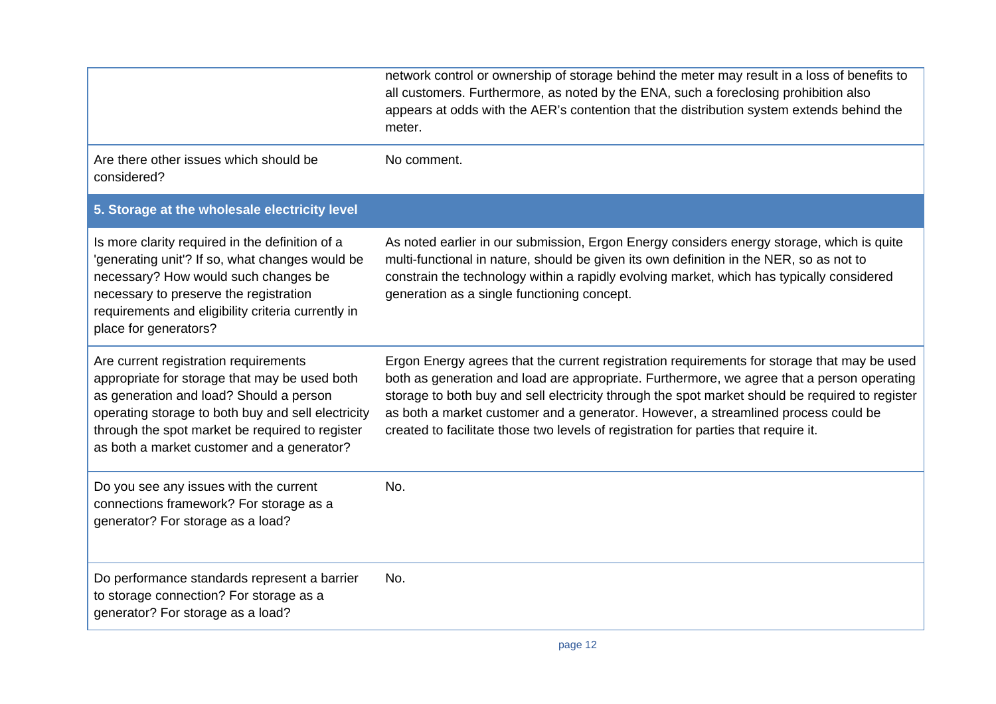|                                                                                                                                                                                                                                                                                          | network control or ownership of storage behind the meter may result in a loss of benefits to<br>all customers. Furthermore, as noted by the ENA, such a foreclosing prohibition also<br>appears at odds with the AER's contention that the distribution system extends behind the<br>meter.                                                                                                                                                                               |
|------------------------------------------------------------------------------------------------------------------------------------------------------------------------------------------------------------------------------------------------------------------------------------------|---------------------------------------------------------------------------------------------------------------------------------------------------------------------------------------------------------------------------------------------------------------------------------------------------------------------------------------------------------------------------------------------------------------------------------------------------------------------------|
| Are there other issues which should be<br>considered?                                                                                                                                                                                                                                    | No comment.                                                                                                                                                                                                                                                                                                                                                                                                                                                               |
| 5. Storage at the wholesale electricity level                                                                                                                                                                                                                                            |                                                                                                                                                                                                                                                                                                                                                                                                                                                                           |
| Is more clarity required in the definition of a<br>'generating unit'? If so, what changes would be<br>necessary? How would such changes be<br>necessary to preserve the registration<br>requirements and eligibility criteria currently in<br>place for generators?                      | As noted earlier in our submission, Ergon Energy considers energy storage, which is quite<br>multi-functional in nature, should be given its own definition in the NER, so as not to<br>constrain the technology within a rapidly evolving market, which has typically considered<br>generation as a single functioning concept.                                                                                                                                          |
| Are current registration requirements<br>appropriate for storage that may be used both<br>as generation and load? Should a person<br>operating storage to both buy and sell electricity<br>through the spot market be required to register<br>as both a market customer and a generator? | Ergon Energy agrees that the current registration requirements for storage that may be used<br>both as generation and load are appropriate. Furthermore, we agree that a person operating<br>storage to both buy and sell electricity through the spot market should be required to register<br>as both a market customer and a generator. However, a streamlined process could be<br>created to facilitate those two levels of registration for parties that require it. |
| Do you see any issues with the current<br>connections framework? For storage as a<br>generator? For storage as a load?                                                                                                                                                                   | No.                                                                                                                                                                                                                                                                                                                                                                                                                                                                       |
| Do performance standards represent a barrier<br>to storage connection? For storage as a<br>generator? For storage as a load?                                                                                                                                                             | No.                                                                                                                                                                                                                                                                                                                                                                                                                                                                       |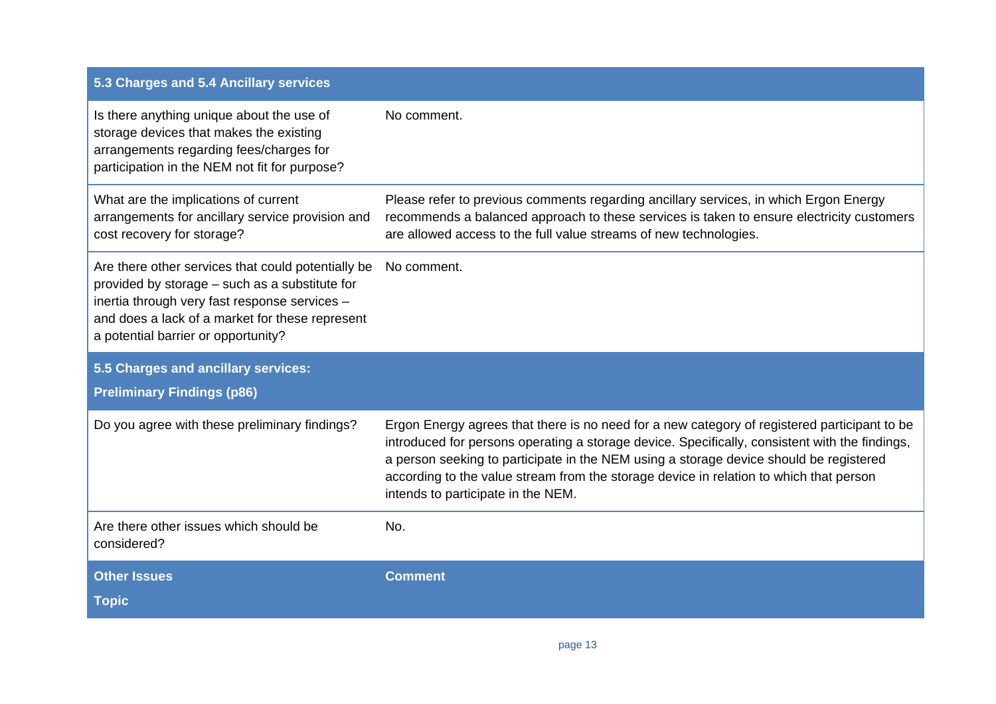| 5.3 Charges and 5.4 Ancillary services                                                                                                                                                                                                          |                                                                                                                                                                                                                                                                                                                                                                                                                          |
|-------------------------------------------------------------------------------------------------------------------------------------------------------------------------------------------------------------------------------------------------|--------------------------------------------------------------------------------------------------------------------------------------------------------------------------------------------------------------------------------------------------------------------------------------------------------------------------------------------------------------------------------------------------------------------------|
| Is there anything unique about the use of<br>storage devices that makes the existing<br>arrangements regarding fees/charges for<br>participation in the NEM not fit for purpose?                                                                | No comment.                                                                                                                                                                                                                                                                                                                                                                                                              |
| What are the implications of current<br>arrangements for ancillary service provision and<br>cost recovery for storage?                                                                                                                          | Please refer to previous comments regarding ancillary services, in which Ergon Energy<br>recommends a balanced approach to these services is taken to ensure electricity customers<br>are allowed access to the full value streams of new technologies.                                                                                                                                                                  |
| Are there other services that could potentially be<br>provided by storage – such as a substitute for<br>inertia through very fast response services -<br>and does a lack of a market for these represent<br>a potential barrier or opportunity? | No comment.                                                                                                                                                                                                                                                                                                                                                                                                              |
| 5.5 Charges and ancillary services:                                                                                                                                                                                                             |                                                                                                                                                                                                                                                                                                                                                                                                                          |
| <b>Preliminary Findings (p86)</b>                                                                                                                                                                                                               |                                                                                                                                                                                                                                                                                                                                                                                                                          |
| Do you agree with these preliminary findings?                                                                                                                                                                                                   | Ergon Energy agrees that there is no need for a new category of registered participant to be<br>introduced for persons operating a storage device. Specifically, consistent with the findings,<br>a person seeking to participate in the NEM using a storage device should be registered<br>according to the value stream from the storage device in relation to which that person<br>intends to participate in the NEM. |
| Are there other issues which should be<br>considered?                                                                                                                                                                                           | No.                                                                                                                                                                                                                                                                                                                                                                                                                      |
| <b>Other Issues</b>                                                                                                                                                                                                                             | <b>Comment</b>                                                                                                                                                                                                                                                                                                                                                                                                           |
| <b>Topic</b>                                                                                                                                                                                                                                    |                                                                                                                                                                                                                                                                                                                                                                                                                          |